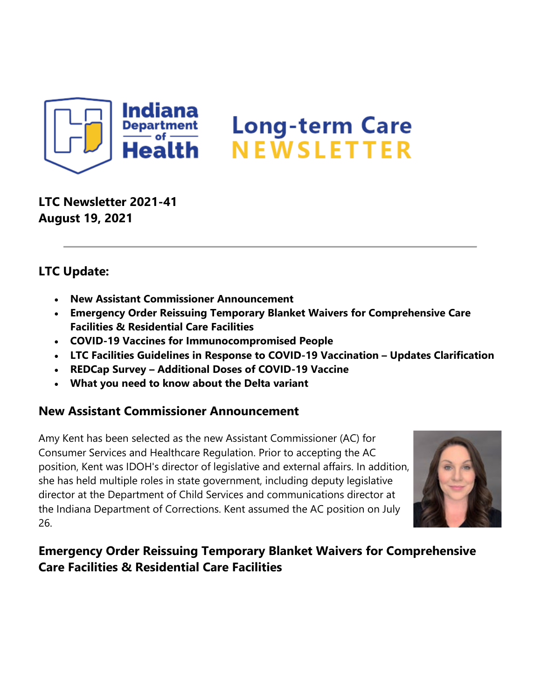

**LTC Newsletter 2021-41 August 19, 2021**

### **LTC Update:**

- **New Assistant Commissioner Announcement**
- **Emergency Order Reissuing Temporary Blanket Waivers for Comprehensive Care Facilities & Residential Care Facilities**
- **COVID-19 Vaccines for Immunocompromised People**
- **LTC Facilities Guidelines in Response to COVID-19 Vaccination – Updates Clarification**
- **REDCap Survey – Additional Doses of COVID-19 Vaccine**
- **What you need to know about the Delta variant**

#### **New Assistant Commissioner Announcement**

Amy Kent has been selected as the new Assistant Commissioner (AC) for Consumer Services and Healthcare Regulation. Prior to accepting the AC position, Kent was IDOH's director of legislative and external affairs. In addition, she has held multiple roles in state government, including deputy legislative director at the Department of Child Services and communications director at the Indiana Department of Corrections. Kent assumed the AC position on July 26.



## **Emergency Order Reissuing Temporary Blanket Waivers for Comprehensive Care Facilities & Residential Care Facilities**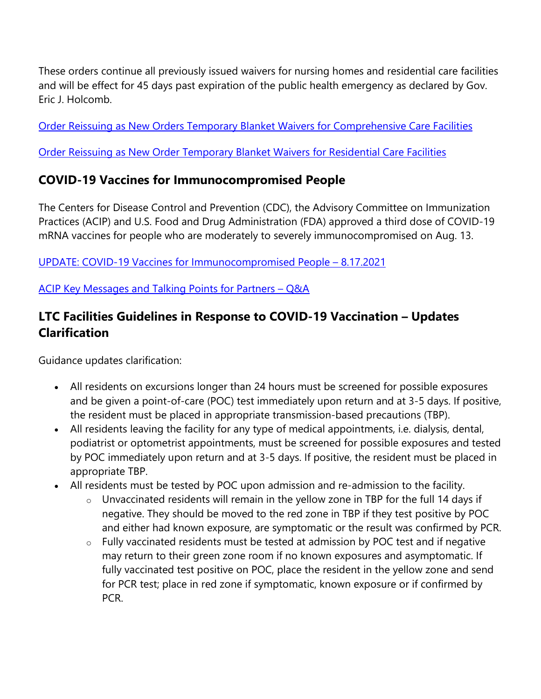These orders continue all previously issued waivers for nursing homes and residential care facilities and will be effect for 45 days past expiration of the public health emergency as declared by Gov. Eric J. Holcomb.

[Order Reissuing as New Orders Temporary Blanket Waivers for Comprehensive Care Facilities](https://content.govdelivery.com/attachments/INSDH/2021/08/18/file_attachments/1909326/Reissuance%20of%20EOs%20for%20CCFs%2020210809.pdf)

[Order Reissuing as New Order Temporary Blanket Waivers for Residential Care Facilities](https://content.govdelivery.com/attachments/INSDH/2021/08/18/file_attachments/1909327/Reissuance%20of%20EOs%20for%20RCFs%2020210809.pdf)

## **COVID-19 Vaccines for Immunocompromised People**

The Centers for Disease Control and Prevention (CDC), the Advisory Committee on Immunization Practices (ACIP) and U.S. Food and Drug Administration (FDA) approved a third dose of COVID-19 mRNA vaccines for people who are moderately to severely immunocompromised on Aug. 13.

[UPDATE: COVID-19 Vaccines for Immunocompromised People –](https://content.govdelivery.com/attachments/INSDH/2021/08/18/file_attachments/1909337/UPDATE%20COVID%20Vaccines%20for%20immunocompromised%20people.pdf) 8.17.2021

[ACIP Key Messages and Talking Points for Partners –](https://content.govdelivery.com/attachments/INSDH/2021/08/18/file_attachments/1909339/ACIP-TPs-FINAL-8.17.pdf) Q&A

# **LTC Facilities Guidelines in Response to COVID-19 Vaccination – Updates Clarification**

Guidance updates clarification:

- All residents on excursions longer than 24 hours must be screened for possible exposures and be given a point-of-care (POC) test immediately upon return and at 3-5 days. If positive, the resident must be placed in appropriate transmission-based precautions (TBP).
- All residents leaving the facility for any type of medical appointments, i.e. dialysis, dental, podiatrist or optometrist appointments, must be screened for possible exposures and tested by POC immediately upon return and at 3-5 days. If positive, the resident must be placed in appropriate TBP.
- All residents must be tested by POC upon admission and re-admission to the facility.
	- $\circ$  Unvaccinated residents will remain in the yellow zone in TBP for the full 14 days if negative. They should be moved to the red zone in TBP if they test positive by POC and either had known exposure, are symptomatic or the result was confirmed by PCR.
	- o Fully vaccinated residents must be tested at admission by POC test and if negative may return to their green zone room if no known exposures and asymptomatic. If fully vaccinated test positive on POC, place the resident in the yellow zone and send for PCR test; place in red zone if symptomatic, known exposure or if confirmed by PCR.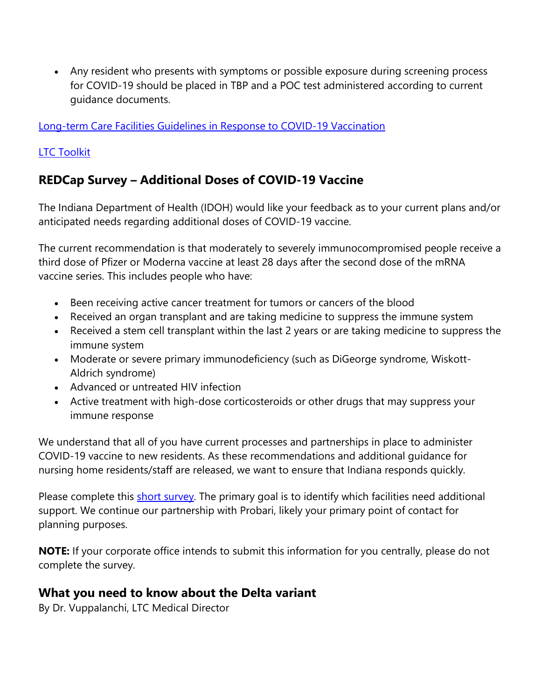• Any resident who presents with symptoms or possible exposure during screening process for COVID-19 should be placed in TBP and a POC test administered according to current guidance documents.

[Long-term Care Facilities Guidelines in Response to COVID-19 Vaccination](https://www.coronavirus.in.gov/files/LTC%20guidelines%20COVID-19%20Vaccination%208.18.21.pdf)

#### [LTC Toolkit](https://www.coronavirus.in.gov/files/IN_COVID-19%20IP%20Toolkit%20ISDH_8.18.21.pdf)

# **REDCap Survey – Additional Doses of COVID-19 Vaccine**

The Indiana Department of Health (IDOH) would like your feedback as to your current plans and/or anticipated needs regarding additional doses of COVID-19 vaccine.

The current recommendation is that moderately to severely immunocompromised people receive a third dose of Pfizer or Moderna vaccine at least 28 days after the second dose of the mRNA vaccine series. This includes people who have:

- Been receiving active cancer treatment for tumors or cancers of the blood
- Received an organ transplant and are taking medicine to suppress the immune system
- Received a stem cell transplant within the last 2 years or are taking medicine to suppress the immune system
- Moderate or severe primary immunodeficiency (such as DiGeorge syndrome, Wiskott-Aldrich syndrome)
- Advanced or untreated HIV infection
- Active treatment with high-dose corticosteroids or other drugs that may suppress your immune response

We understand that all of you have current processes and partnerships in place to administer COVID-19 vaccine to new residents. As these recommendations and additional guidance for nursing home residents/staff are released, we want to ensure that Indiana responds quickly.

Please complete this [short survey.](https://redcap.isdh.in.gov/surveys/?s=XN3XJYRKLE) The primary goal is to identify which facilities need additional support. We continue our partnership with Probari, likely your primary point of contact for planning purposes.

**NOTE:** If your corporate office intends to submit this information for you centrally, please do not complete the survey.

### **What you need to know about the Delta variant**

By Dr. Vuppalanchi, LTC Medical Director